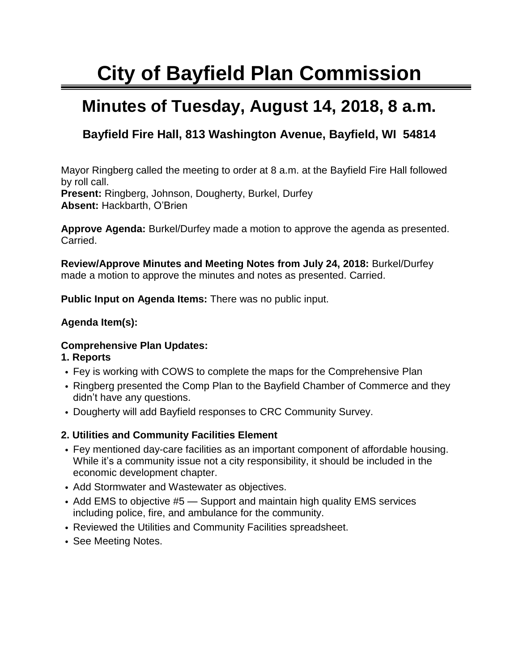# **City of Bayfield Plan Commission**

## **Minutes of Tuesday, August 14, 2018, 8 a.m.**

### **Bayfield Fire Hall, 813 Washington Avenue, Bayfield, WI 54814**

Mayor Ringberg called the meeting to order at 8 a.m. at the Bayfield Fire Hall followed by roll call.

**Present:** Ringberg, Johnson, Dougherty, Burkel, Durfey **Absent:** Hackbarth, O'Brien

**Approve Agenda:** Burkel/Durfey made a motion to approve the agenda as presented. Carried.

**Review/Approve Minutes and Meeting Notes from July 24, 2018:** Burkel/Durfey made a motion to approve the minutes and notes as presented. Carried.

**Public Input on Agenda Items:** There was no public input.

#### **Agenda Item(s):**

#### **Comprehensive Plan Updates:**

#### **1. Reports**

- Fey is working with COWS to complete the maps for the Comprehensive Plan
- Ringberg presented the Comp Plan to the Bayfield Chamber of Commerce and they didn't have any questions.
- Dougherty will add Bayfield responses to CRC Community Survey.

#### **2. Utilities and Community Facilities Element**

- Fey mentioned day-care facilities as an important component of affordable housing. While it's a community issue not a city responsibility, it should be included in the economic development chapter.
- Add Stormwater and Wastewater as objectives.
- Add EMS to objective #5 Support and maintain high quality EMS services including police, fire, and ambulance for the community.
- Reviewed the Utilities and Community Facilities spreadsheet.
- See Meeting Notes.